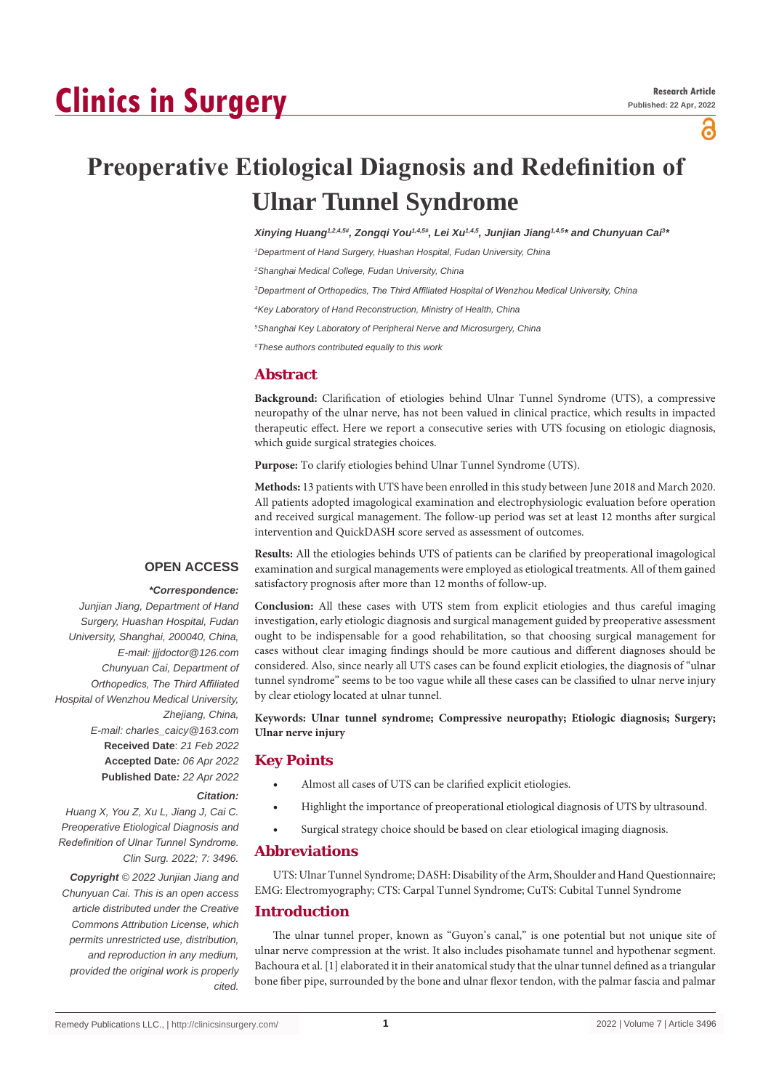# **Clinics in Surgery**

ဥ

## **Preoperative Etiological Diagnosis and Redefinition of Ulnar Tunnel Syndrome**

*Xinying Huang1,2,4,5#, Zongqi You1,4,5#, Lei Xu1,4,5, Junjian Jiang1,4,5\* and Chunyuan Cai3 \**

*1 Department of Hand Surgery, Huashan Hospital, Fudan University, China*

*2 Shanghai Medical College, Fudan University, China*

*3 Department of Orthopedics, The Third Affiliated Hospital of Wenzhou Medical University, China* 

*4 Key Laboratory of Hand Reconstruction, Ministry of Health, China*

*5 Shanghai Key Laboratory of Peripheral Nerve and Microsurgery, China*

*# These authors contributed equally to this work*

## **Abstract**

**Background:** Clarification of etiologies behind Ulnar Tunnel Syndrome (UTS), a compressive neuropathy of the ulnar nerve, has not been valued in clinical practice, which results in impacted therapeutic effect. Here we report a consecutive series with UTS focusing on etiologic diagnosis, which guide surgical strategies choices.

**Purpose:** To clarify etiologies behind Ulnar Tunnel Syndrome (UTS).

**Methods:** 13 patients with UTS have been enrolled in this study between June 2018 and March 2020. All patients adopted imagological examination and electrophysiologic evaluation before operation and received surgical management. The follow-up period was set at least 12 months after surgical intervention and QuickDASH score served as assessment of outcomes.

#### **OPEN ACCESS**

#### *\*Correspondence:*

*Junjian Jiang, Department of Hand Surgery, Huashan Hospital, Fudan University, Shanghai, 200040, China, E-mail: jjjdoctor@126.com Chunyuan Cai, Department of Orthopedics, The Third Affiliated Hospital of Wenzhou Medical University, Zhejiang, China, E-mail: charles\_caicy@163.com* **Received Date**: *21 Feb 2022* **Accepted Date***: 06 Apr 2022* **Published Date***: 22 Apr 2022*

*Citation:* 

*Huang X, You Z, Xu L, Jiang J, Cai C. Preoperative Etiological Diagnosis and Redefinition of Ulnar Tunnel Syndrome. Clin Surg. 2022; 7: 3496.*

*Copyright © 2022 Junjian Jiang and Chunyuan Cai. This is an open access article distributed under the Creative Commons Attribution License, which permits unrestricted use, distribution, and reproduction in any medium, provided the original work is properly cited.*

**Results:** All the etiologies behinds UTS of patients can be clarified by preoperational imagological examination and surgical managements were employed as etiological treatments. All of them gained satisfactory prognosis after more than 12 months of follow-up.

**Conclusion:** All these cases with UTS stem from explicit etiologies and thus careful imaging investigation, early etiologic diagnosis and surgical management guided by preoperative assessment ought to be indispensable for a good rehabilitation, so that choosing surgical management for cases without clear imaging findings should be more cautious and different diagnoses should be considered. Also, since nearly all UTS cases can be found explicit etiologies, the diagnosis of "ulnar tunnel syndrome" seems to be too vague while all these cases can be classified to ulnar nerve injury by clear etiology located at ulnar tunnel.

**Keywords: Ulnar tunnel syndrome; Compressive neuropathy; Etiologic diagnosis; Surgery; Ulnar nerve injury**

### **Key Points**

- Almost all cases of UTS can be clarified explicit etiologies.
- Highlight the importance of preoperational etiological diagnosis of UTS by ultrasound.
- Surgical strategy choice should be based on clear etiological imaging diagnosis.

#### **Abbreviations**

UTS: Ulnar Tunnel Syndrome; DASH: Disability of the Arm, Shoulder and Hand Questionnaire; EMG: Electromyography; CTS: Carpal Tunnel Syndrome; CuTS: Cubital Tunnel Syndrome

## **Introduction**

The ulnar tunnel proper, known as "Guyon's canal," is one potential but not unique site of ulnar nerve compression at the wrist. It also includes pisohamate tunnel and hypothenar segment. Bachoura et al. [1] elaborated it in their anatomical study that the ulnar tunnel defined as a triangular bone fiber pipe, surrounded by the bone and ulnar flexor tendon, with the palmar fascia and palmar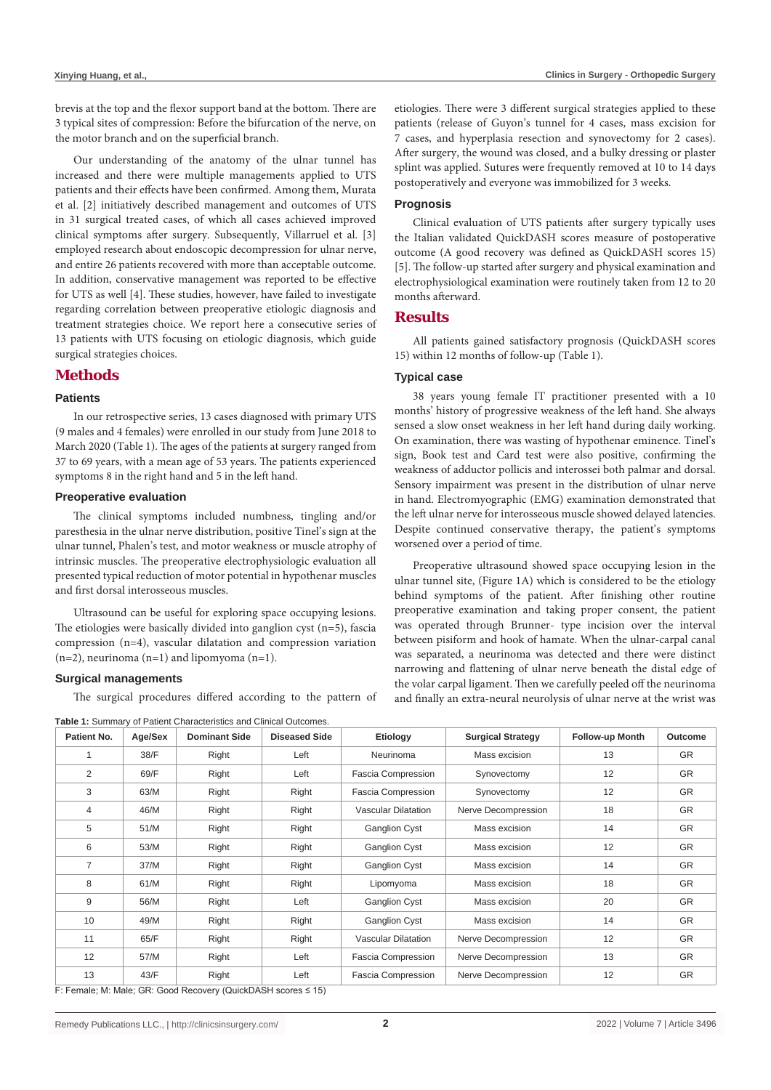brevis at the top and the flexor support band at the bottom. There are 3 typical sites of compression: Before the bifurcation of the nerve, on the motor branch and on the superficial branch.

Our understanding of the anatomy of the ulnar tunnel has increased and there were multiple managements applied to UTS patients and their effects have been confirmed. Among them, Murata et al. [2] initiatively described management and outcomes of UTS in 31 surgical treated cases, of which all cases achieved improved clinical symptoms after surgery. Subsequently, Villarruel et al. [3] employed research about endoscopic decompression for ulnar nerve, and entire 26 patients recovered with more than acceptable outcome. In addition, conservative management was reported to be effective for UTS as well [4]. These studies, however, have failed to investigate regarding correlation between preoperative etiologic diagnosis and treatment strategies choice. We report here a consecutive series of 13 patients with UTS focusing on etiologic diagnosis, which guide surgical strategies choices.

## **Methods**

## **Patients**

In our retrospective series, 13 cases diagnosed with primary UTS (9 males and 4 females) were enrolled in our study from June 2018 to March 2020 (Table 1). The ages of the patients at surgery ranged from 37 to 69 years, with a mean age of 53 years. The patients experienced symptoms 8 in the right hand and 5 in the left hand.

#### **Preoperative evaluation**

The clinical symptoms included numbness, tingling and/or paresthesia in the ulnar nerve distribution, positive Tinel's sign at the ulnar tunnel, Phalen's test, and motor weakness or muscle atrophy of intrinsic muscles. The preoperative electrophysiologic evaluation all presented typical reduction of motor potential in hypothenar muscles and first dorsal interosseous muscles.

Ultrasound can be useful for exploring space occupying lesions. The etiologies were basically divided into ganglion cyst (n=5), fascia compression (n=4), vascular dilatation and compression variation  $(n=2)$ , neurinoma  $(n=1)$  and lipomyoma  $(n=1)$ .

#### **Surgical managements**

The surgical procedures differed according to the pattern of

**Table 1:** Summary of Patient Characteristics and Clinical Outcomes.

etiologies. There were 3 different surgical strategies applied to these patients (release of Guyon's tunnel for 4 cases, mass excision for 7 cases, and hyperplasia resection and synovectomy for 2 cases). After surgery, the wound was closed, and a bulky dressing or plaster splint was applied. Sutures were frequently removed at 10 to 14 days postoperatively and everyone was immobilized for 3 weeks.

#### **Prognosis**

Clinical evaluation of UTS patients after surgery typically uses the Italian validated QuickDASH scores measure of postoperative outcome (A good recovery was defined as QuickDASH scores 15) [5]. The follow-up started after surgery and physical examination and electrophysiological examination were routinely taken from 12 to 20 months afterward.

#### **Results**

All patients gained satisfactory prognosis (QuickDASH scores 15) within 12 months of follow-up (Table 1).

#### **Typical case**

38 years young female IT practitioner presented with a 10 months' history of progressive weakness of the left hand. She always sensed a slow onset weakness in her left hand during daily working. On examination, there was wasting of hypothenar eminence. Tinel's sign, Book test and Card test were also positive, confirming the weakness of adductor pollicis and interossei both palmar and dorsal. Sensory impairment was present in the distribution of ulnar nerve in hand. Electromyographic (EMG) examination demonstrated that the left ulnar nerve for interosseous muscle showed delayed latencies. Despite continued conservative therapy, the patient's symptoms worsened over a period of time.

Preoperative ultrasound showed space occupying lesion in the ulnar tunnel site, (Figure 1A) which is considered to be the etiology behind symptoms of the patient. After finishing other routine preoperative examination and taking proper consent, the patient was operated through Brunner- type incision over the interval between pisiform and hook of hamate. When the ulnar-carpal canal was separated, a neurinoma was detected and there were distinct narrowing and flattening of ulnar nerve beneath the distal edge of the volar carpal ligament. Then we carefully peeled off the neurinoma and finally an extra-neural neurolysis of ulnar nerve at the wrist was

| Patient No.    | Age/Sex | <b>Dominant Side</b> | <b>Diseased Side</b> | Etiology                   | <b>Surgical Strategy</b> | <b>Follow-up Month</b> | Outcome   |
|----------------|---------|----------------------|----------------------|----------------------------|--------------------------|------------------------|-----------|
|                | 38/F    | Right                | Left                 | Neurinoma                  | Mass excision            | 13                     | <b>GR</b> |
| 2              | 69/F    | Right                | Left                 | Fascia Compression         | Synovectomy              | 12                     | <b>GR</b> |
| 3              | 63/M    | Right                | Right                | Fascia Compression         | Synovectomy              | 12                     | <b>GR</b> |
| 4              | 46/M    | Right                | Right                | <b>Vascular Dilatation</b> | Nerve Decompression      | 18                     | <b>GR</b> |
| 5              | 51/M    | Right                | Right                | <b>Ganglion Cyst</b>       | Mass excision            | 14                     | <b>GR</b> |
| 6              | 53/M    | Right                | Right                | <b>Ganglion Cyst</b>       | Mass excision            | 12                     | <b>GR</b> |
| $\overline{7}$ | 37/M    | Right                | Right                | <b>Ganglion Cyst</b>       | Mass excision            | 14                     | <b>GR</b> |
| 8              | 61/M    | Right                | Right                | Lipomyoma                  | Mass excision            | 18                     | <b>GR</b> |
| 9              | 56/M    | Right                | Left                 | <b>Ganglion Cyst</b>       | Mass excision            | 20                     | <b>GR</b> |
| 10             | 49/M    | Right                | Right                | <b>Ganglion Cyst</b>       | Mass excision            | 14                     | <b>GR</b> |
| 11             | 65/F    | Right                | Right                | <b>Vascular Dilatation</b> | Nerve Decompression      | 12                     | <b>GR</b> |
| 12             | 57/M    | Right                | Left                 | Fascia Compression         | Nerve Decompression      | 13                     | <b>GR</b> |
| 13             | 43/F    | Right                | Left                 | Fascia Compression         | Nerve Decompression      | 12                     | <b>GR</b> |

F: Female; M: Male; GR: Good Recovery (QuickDASH scores ≤ 15)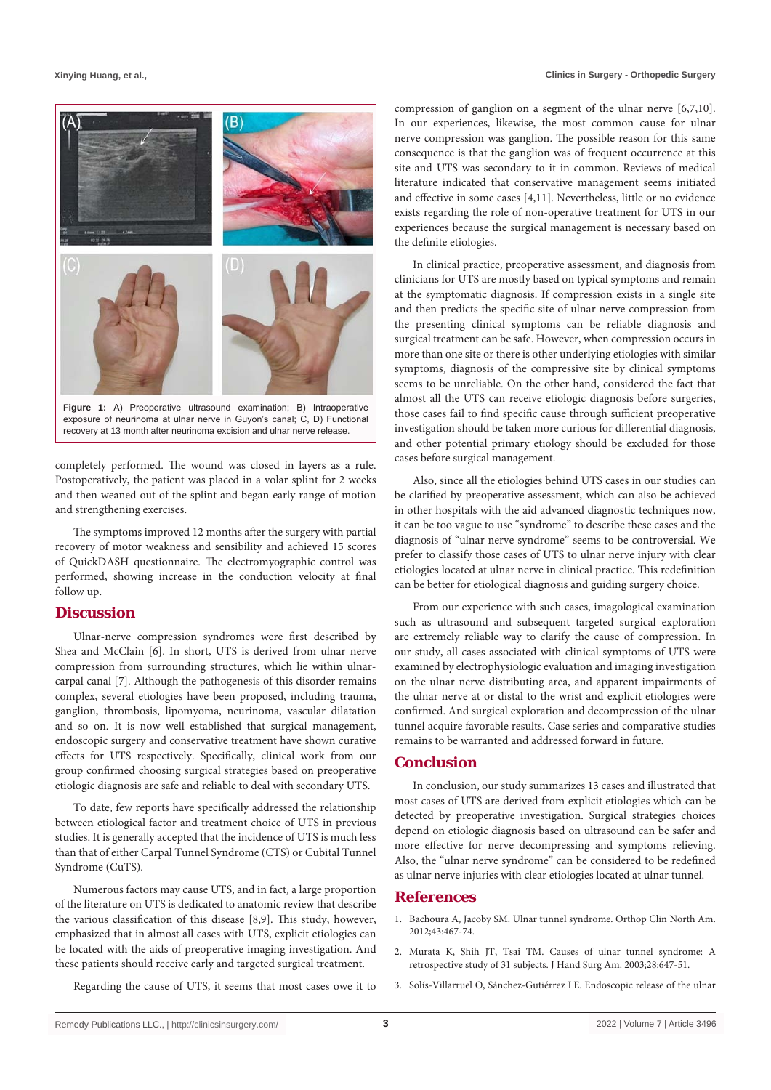

exposure of neurinoma at ulnar nerve in Guyon's canal; C, D) Functional recovery at 13 month after neurinoma excision and ulnar nerve release.

completely performed. The wound was closed in layers as a rule. Postoperatively, the patient was placed in a volar splint for 2 weeks and then weaned out of the splint and began early range of motion and strengthening exercises.

The symptoms improved 12 months after the surgery with partial recovery of motor weakness and sensibility and achieved 15 scores of QuickDASH questionnaire. The electromyographic control was performed, showing increase in the conduction velocity at final follow up.

## **Discussion**

Ulnar-nerve compression syndromes were first described by Shea and McClain [6]. In short, UTS is derived from ulnar nerve compression from surrounding structures, which lie within ulnarcarpal canal [7]. Although the pathogenesis of this disorder remains complex, several etiologies have been proposed, including trauma, ganglion, thrombosis, lipomyoma, neurinoma, vascular dilatation and so on. It is now well established that surgical management, endoscopic surgery and conservative treatment have shown curative effects for UTS respectively. Specifically, clinical work from our group confirmed choosing surgical strategies based on preoperative etiologic diagnosis are safe and reliable to deal with secondary UTS.

To date, few reports have specifically addressed the relationship between etiological factor and treatment choice of UTS in previous studies. It is generally accepted that the incidence of UTS is much less than that of either Carpal Tunnel Syndrome (CTS) or Cubital Tunnel Syndrome (CuTS).

Numerous factors may cause UTS, and in fact, a large proportion of the literature on UTS is dedicated to anatomic review that describe the various classification of this disease [8,9]. This study, however, emphasized that in almost all cases with UTS, explicit etiologies can be located with the aids of preoperative imaging investigation. And these patients should receive early and targeted surgical treatment.

Regarding the cause of UTS, it seems that most cases owe it to

compression of ganglion on a segment of the ulnar nerve [6,7,10]. In our experiences, likewise, the most common cause for ulnar nerve compression was ganglion. The possible reason for this same consequence is that the ganglion was of frequent occurrence at this site and UTS was secondary to it in common. Reviews of medical literature indicated that conservative management seems initiated and effective in some cases [4,11]. Nevertheless, little or no evidence exists regarding the role of non-operative treatment for UTS in our experiences because the surgical management is necessary based on the definite etiologies.

In clinical practice, preoperative assessment, and diagnosis from clinicians for UTS are mostly based on typical symptoms and remain at the symptomatic diagnosis. If compression exists in a single site and then predicts the specific site of ulnar nerve compression from the presenting clinical symptoms can be reliable diagnosis and surgical treatment can be safe. However, when compression occurs in more than one site or there is other underlying etiologies with similar symptoms, diagnosis of the compressive site by clinical symptoms seems to be unreliable. On the other hand, considered the fact that almost all the UTS can receive etiologic diagnosis before surgeries, those cases fail to find specific cause through sufficient preoperative investigation should be taken more curious for differential diagnosis, and other potential primary etiology should be excluded for those cases before surgical management.

Also, since all the etiologies behind UTS cases in our studies can be clarified by preoperative assessment, which can also be achieved in other hospitals with the aid advanced diagnostic techniques now, it can be too vague to use "syndrome" to describe these cases and the diagnosis of "ulnar nerve syndrome" seems to be controversial. We prefer to classify those cases of UTS to ulnar nerve injury with clear etiologies located at ulnar nerve in clinical practice. This redefinition can be better for etiological diagnosis and guiding surgery choice.

From our experience with such cases, imagological examination such as ultrasound and subsequent targeted surgical exploration are extremely reliable way to clarify the cause of compression. In our study, all cases associated with clinical symptoms of UTS were examined by electrophysiologic evaluation and imaging investigation on the ulnar nerve distributing area, and apparent impairments of the ulnar nerve at or distal to the wrist and explicit etiologies were confirmed. And surgical exploration and decompression of the ulnar tunnel acquire favorable results. Case series and comparative studies remains to be warranted and addressed forward in future.

## **Conclusion**

In conclusion, our study summarizes 13 cases and illustrated that most cases of UTS are derived from explicit etiologies which can be detected by preoperative investigation. Surgical strategies choices depend on etiologic diagnosis based on ultrasound can be safer and more effective for nerve decompressing and symptoms relieving. Also, the "ulnar nerve syndrome" can be considered to be redefined as ulnar nerve injuries with clear etiologies located at ulnar tunnel.

#### **References**

- 1. [Bachoura A, Jacoby SM. Ulnar tunnel syndrome. Orthop Clin North Am.](https://pubmed.ncbi.nlm.nih.gov/23026462/)  [2012;43:467-74.](https://pubmed.ncbi.nlm.nih.gov/23026462/)
- 2. [Murata K, Shih JT, Tsai TM. Causes of ulnar tunnel syndrome: A](https://pubmed.ncbi.nlm.nih.gov/12877855/)  [retrospective study of 31 subjects. J Hand Surg Am. 2003;28:647-51.](https://pubmed.ncbi.nlm.nih.gov/12877855/)
- 3. [Solís-Villarruel O, Sánchez-Gutiérrez LE. Endoscopic release of the ulnar](https://pubmed.ncbi.nlm.nih.gov/32253852/)